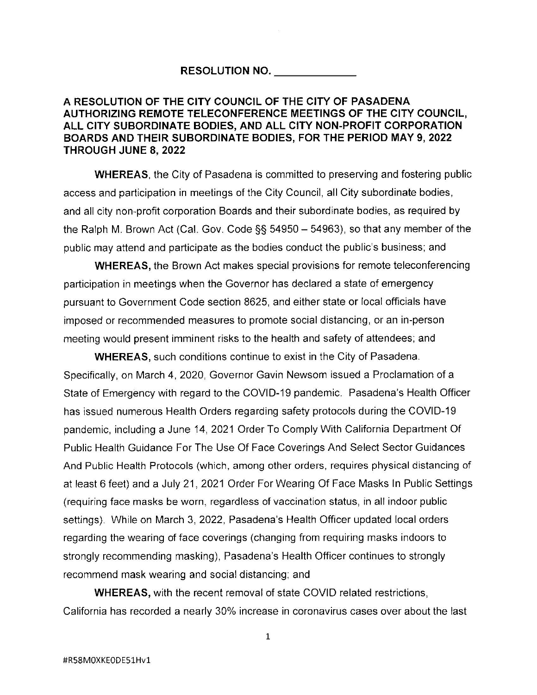## **RESOLUTION NO. \_\_\_\_ \_**

## **A RESOLUTION OF THE CITY COUNCIL OF THE CITY OF PASADENA AUTHORIZING REMOTE TELECONFERENCE MEETINGS OF THE CITY COUNCIL, ALL CITY SUBORDINATE BODIES, AND ALL CITY NON-PROFIT CORPORATION BOARDS AND THEIR SUBORDINATE BODIES, FOR THE PERIOD MAY 9, 2022 THROUGH JUNE 8, 2022**

**WHEREAS,** the City of Pasadena is committed to preserving and fostering public access and participation in meetings of the City Council, all City subordinate bodies, and all city non-profit corporation Boards and their subordinate bodies, as required by the Ralph M. Brown Act (Cal. Gov. Code  $\S$ § 54950 - 54963), so that any member of the public may attend and participate as the bodies conduct the public's business; and

**WHEREAS,** the Brown Act makes special provisions for remote teleconferencing participation in meetings when the Governor has declared a state of emergency pursuant to Government Code section 8625, and either state or local officials have imposed or recommended measures to promote social distancing, or an in-person meeting would present imminent risks to the health and safety of attendees; and

**WHEREAS,** such conditions continue to exist in the City of Pasadena. Specifically, on March 4, 2020, Governor Gavin Newsom issued a Proclamation of a State of Emergency with regard to the COVID-19 pandemic. Pasadena's Health Officer has issued numerous Health Orders regarding safety protocols during the COVID-19 pandemic, including a June 14, 2021 Order To Comply With California Department Of Public Health Guidance For The Use Of Face Coverings And Select Sector Guidances And Public Health Protocols (which, among other orders, requires physical distancing of at least 6 feet) and a July 21, 2021 Order For Wearing Of Face Masks In Public Settings (requiring face masks be worn, regardless of vaccination status, in all indoor public settings). While on March 3, 2022, Pasadena's Health Officer updated local orders regarding the wearing of face coverings (changing from requiring masks indoors to strongly recommending masking), Pasadena's Health Officer continues to strongly recommend mask wearing and social distancing; and

**WHEREAS,** with the recent removal of state COVID related restrictions, California has recorded a nearly 30% increase in coronavirus cases over about the last

1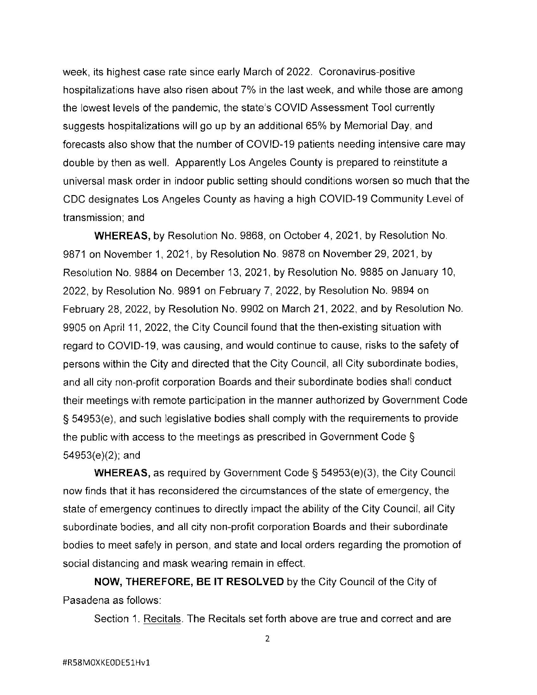week, its highest case rate since early March of 2022. Coronavirus-positive hospitalizations have also risen about 7% in the last week, and while those are among the lowest levels of the pandemic, the state's COVID Assessment Tool currently suggests hospitalizations will go up by an additional 65% by Memorial Day, and forecasts also show that the number of COVID-19 patients needing intensive care may double by then as well. Apparently Los Angeles County is prepared to reinstitute a universal mask order in indoor public setting should conditions worsen so much that the CDC designates Los Angeles County as having a high COVID-19 Community Level of transmission; and

**WHEREAS,** by Resolution No. 9868, on October 4, 2021, by Resolution No. 9871 on November 1, 2021, by Resolution No. 9878 on November 29, 2021, by Resolution No. 9884 on December 13, 2021, by Resolution No. 9885 on January 10, 2022, by Resolution No. 9891 on February 7, 2022, by Resolution No. 9894 on February 28, 2022, by Resolution No. 9902 on March 21, 2022, and by Resolution No. 9905 on April 11, 2022, the City Council found that the then-existing situation with regard to COVID-19, was causing, and would continue to cause, risks to the safety of persons within the City and directed that the City Council, all City subordinate bodies, and all city non-profit corporation Boards and their subordinate bodies shall conduct their meetings with remote participation in the manner authorized by Government Code § 54953(e), and such legislative bodies shall comply with the requirements to provide the public with access to the meetings as prescribed in Government Code § 54953(e)(2); and

**WHEREAS,** as required by Government Code§ 54953(e)(3), the City Council now finds that it has reconsidered the circumstances of the state of emergency, the state of emergency continues to directly impact the ability of the City Council, all City subordinate bodies, and all city non-profit corporation Boards and their subordinate bodies to meet safely in person, and state and local orders regarding the promotion of social distancing and mask wearing remain in effect.

**NOW, THEREFORE, BE IT RESOLVED** by the City Council of the City of Pasadena as follows:

Section 1. Recitals. The Recitals set forth above are true and correct and are